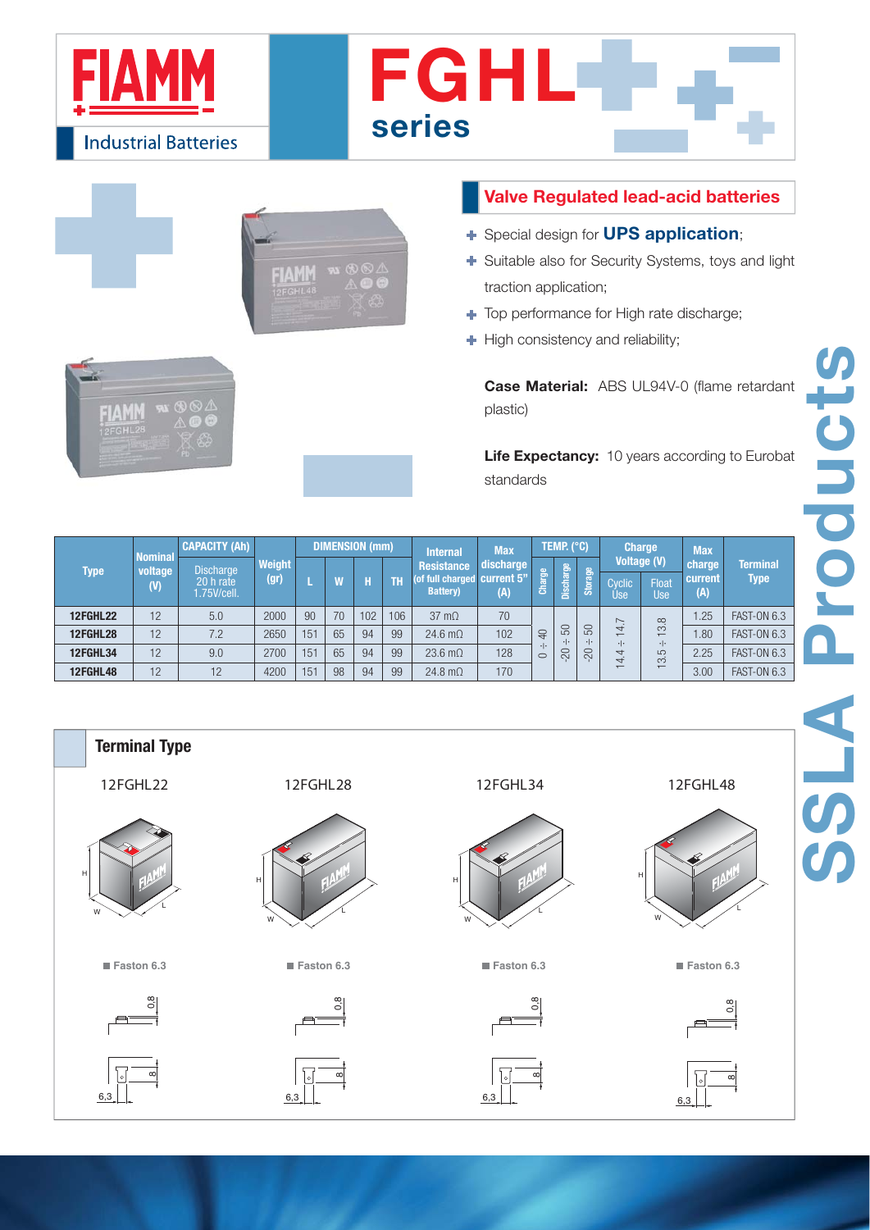

 $74W$ **EGHL4** 

 $M$ 

**FIAMM DEGHL** 

- Special design for **UPS application**;
- Suitable also for Security Systems, toys and light traction application;
- $\rightarrow$  Top performance for High rate discharge;
- $\blacksquare$  High consistency and reliability;

plastic)

**Life Expectancy:** 10 years according to Eurobat standards

| <b>Type</b>     | <b>Nominal</b><br>voltage<br>(V) | <b>CAPACITY (Ah)</b>                        | Weight<br>(gr) | DIMENSION (mm) |    |     |     | <b>Internal</b><br><b>Resistance</b>            | <b>Max</b><br>discharge | TEMP. (°C)             |                           |                           | <b>Charge</b><br><b>Voltage (V)</b> |                           | <b>Max</b><br>charge          | <b>Terminal</b>    |
|-----------------|----------------------------------|---------------------------------------------|----------------|----------------|----|-----|-----|-------------------------------------------------|-------------------------|------------------------|---------------------------|---------------------------|-------------------------------------|---------------------------|-------------------------------|--------------------|
|                 |                                  | <b>Discharge</b><br>20 h rate<br>.75V/cell. |                |                |    |     | TH  | (of full charged current 5"<br><b>Battery</b> ) | (A)                     | $\mathbf{G}$<br>Charge | Discharge                 | Storage                   | Cvclic<br>'Use                      | Float<br>Use              | <b>Type</b><br>current<br>(A) |                    |
| <b>12FGHL22</b> | 12                               | 5.0                                         | 2000           | 90             | 70 | 102 | 106 | $37 \text{ m}\Omega$                            | 70                      |                        | 50<br>$\cdot \cdot$<br>20 |                           | $\sim$                              | $\infty$                  | .25                           | <b>FAST-ON 6.3</b> |
| <b>12FGHL28</b> | 12                               | 7.2                                         | 2650           | 151            | 65 | 94  | 99  | 24.6 $m\Omega$                                  | 102                     | $\Theta$               |                           | 50<br>$\cdot \cdot$<br>20 | $\overline{ }$<br>$\cdot \cdot$     | $\infty$<br>$\cdot \cdot$ | .80                           | <b>FAST-ON 6.3</b> |
| <b>12FGHL34</b> | 12                               | 9.0                                         | 2700           | 151            | 65 | 94  | 99  | 23.6 $m\Omega$                                  | 128                     | $\circ$                |                           |                           | $\overline{}$<br>$\overline{ }$     | LO<br>က                   | 2.25                          | <b>FAST-ON 6.3</b> |
| 12FGHL48        | 12                               | 12                                          | 4200           | 151            | 98 | 94  | 99  | 24.8 $m\Omega$                                  | 170                     |                        |                           |                           |                                     |                           | 3.00                          | <b>FAST-ON 6.3</b> |



**SSLA Products**